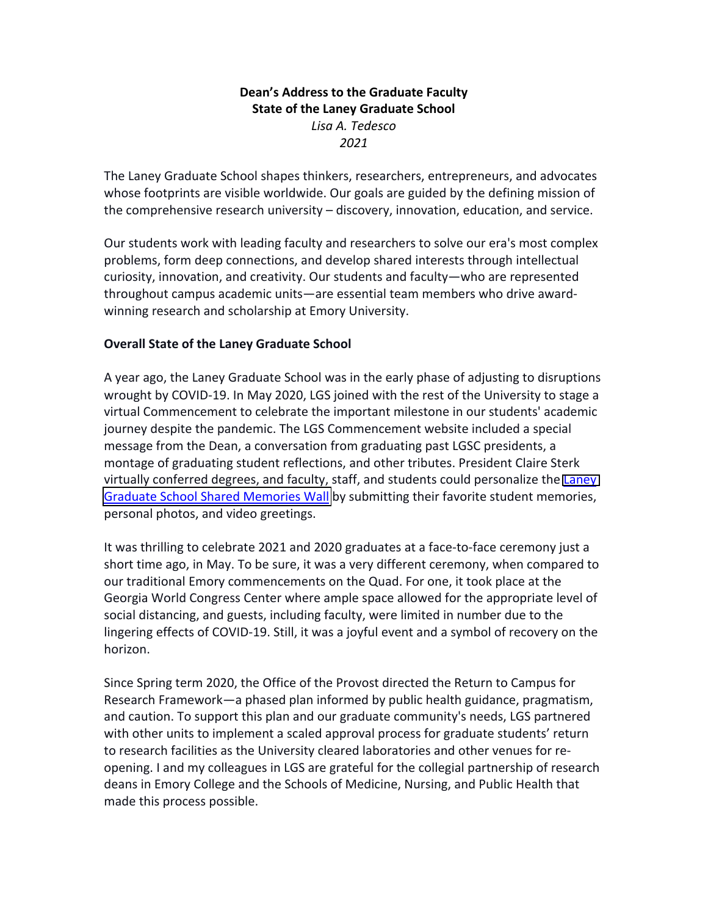## **Dean's Address to the Graduate Faculty State of the Laney Graduate School**  *Lisa A. Tedesco 2021*

The Laney Graduate School shapes thinkers, researchers, entrepreneurs, and advocates whose footprints are visible worldwide. Our goals are guided by the defining mission of the comprehensive research university – discovery, innovation, education, and service.

Our students work with leading faculty and researchers to solve our era's most complex problems, form deep connections, and develop shared interests through intellectual curiosity, innovation, and creativity. Our students and faculty—who are represented throughout campus academic units—are essential team members who drive awardwinning research and scholarship at Emory University.

### **Overall State of the Laney Graduate School**

A year ago, the Laney Graduate School was in the early phase of adjusting to disruptions wrought by COVID-19. In May 2020, LGS joined with the rest of the University to stage a virtual Commencement to celebrate the important milestone in our students' academic journey despite the pandemic. The LGS Commencement website included a special message from the Dean, a conversation from graduating past LGSC presidents, a montage of graduating student reflections, and other tributes. President Claire Sterk virtually conferred degrees, and faculty, staff, and students could personalize the [Laney](https://emory2020.com/memories)  [Graduate School Shared Memories Wall](https://emory2020.com/memories) by submitting their favorite student memories, personal photos, and video greetings.

It was thrilling to celebrate 2021 and 2020 graduates at a face-to-face ceremony just a short time ago, in May. To be sure, it was a very different ceremony, when compared to our traditional Emory commencements on the Quad. For one, it took place at the Georgia World Congress Center where ample space allowed for the appropriate level of social distancing, and guests, including faculty, were limited in number due to the lingering effects of COVID-19. Still, it was a joyful event and a symbol of recovery on the horizon.

Since Spring term 2020, the Office of the Provost directed the Return to Campus for Research Framework—a phased plan informed by public health guidance, pragmatism, and caution. To support this plan and our graduate community's needs, LGS partnered with other units to implement a scaled approval process for graduate students' return to research facilities as the University cleared laboratories and other venues for reopening. I and my colleagues in LGS are grateful for the collegial partnership of research deans in Emory College and the Schools of Medicine, Nursing, and Public Health that made this process possible.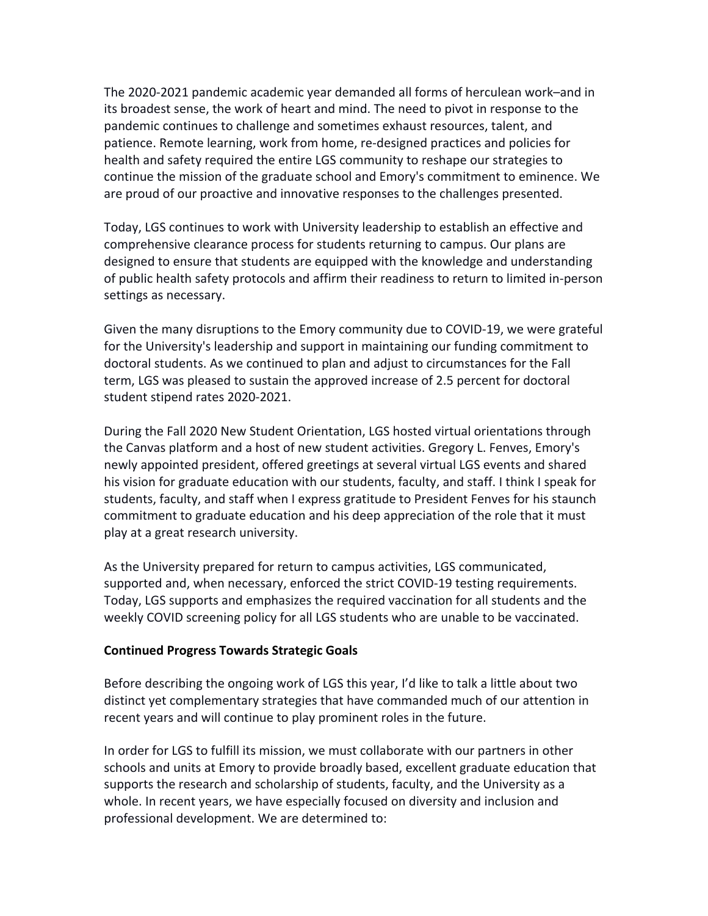The 2020-2021 pandemic academic year demanded all forms of herculean work–and in its broadest sense, the work of heart and mind. The need to pivot in response to the pandemic continues to challenge and sometimes exhaust resources, talent, and patience. Remote learning, work from home, re-designed practices and policies for health and safety required the entire LGS community to reshape our strategies to continue the mission of the graduate school and Emory's commitment to eminence. We are proud of our proactive and innovative responses to the challenges presented.

Today, LGS continues to work with University leadership to establish an effective and comprehensive clearance process for students returning to campus. Our plans are designed to ensure that students are equipped with the knowledge and understanding of public health safety protocols and affirm their readiness to return to limited in-person settings as necessary.

Given the many disruptions to the Emory community due to COVID-19, we were grateful for the University's leadership and support in maintaining our funding commitment to doctoral students. As we continued to plan and adjust to circumstances for the Fall term, LGS was pleased to sustain the approved increase of 2.5 percent for doctoral student stipend rates 2020-2021.

During the Fall 2020 New Student Orientation, LGS hosted virtual orientations through the Canvas platform and a host of new student activities. Gregory L. Fenves, Emory's newly appointed president, offered greetings at several virtual LGS events and shared his vision for graduate education with our students, faculty, and staff. I think I speak for students, faculty, and staff when I express gratitude to President Fenves for his staunch commitment to graduate education and his deep appreciation of the role that it must play at a great research university.

As the University prepared for return to campus activities, LGS communicated, supported and, when necessary, enforced the strict COVID-19 testing requirements. Today, LGS supports and emphasizes the required vaccination for all students and the weekly COVID screening policy for all LGS students who are unable to be vaccinated.

#### **Continued Progress Towards Strategic Goals**

Before describing the ongoing work of LGS this year, I'd like to talk a little about two distinct yet complementary strategies that have commanded much of our attention in recent years and will continue to play prominent roles in the future.

In order for LGS to fulfill its mission, we must collaborate with our partners in other schools and units at Emory to provide broadly based, excellent graduate education that supports the research and scholarship of students, faculty, and the University as a whole. In recent years, we have especially focused on diversity and inclusion and professional development. We are determined to: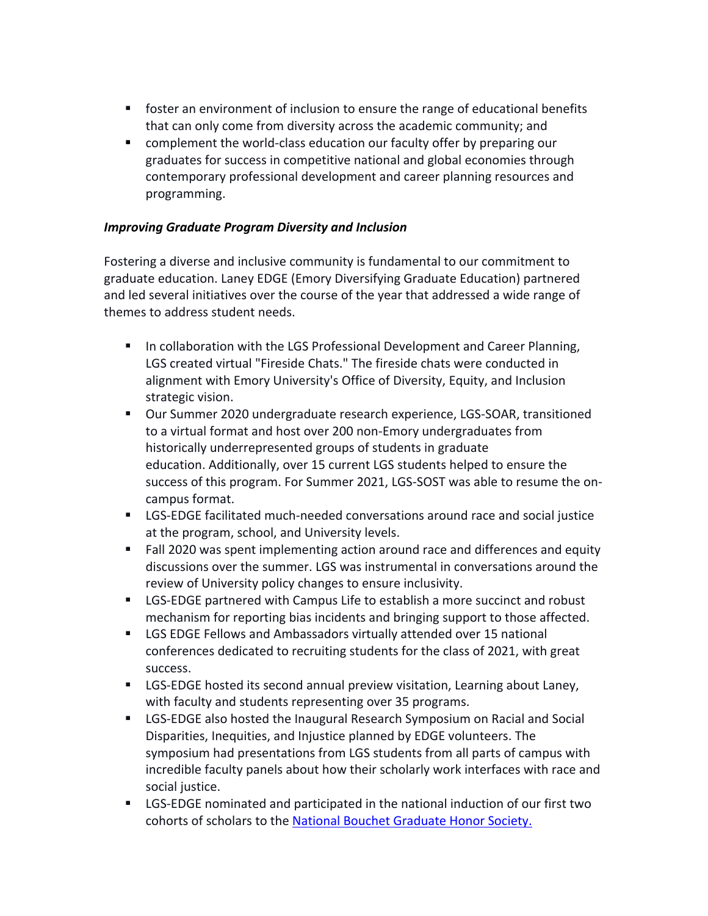- foster an environment of inclusion to ensure the range of educational benefits that can only come from diversity across the academic community; and
- complement the world-class education our faculty offer by preparing our graduates for success in competitive national and global economies through contemporary professional development and career planning resources and programming.

### *Improving Graduate Program Diversity and Inclusion*

Fostering a diverse and inclusive community is fundamental to our commitment to graduate education. Laney EDGE (Emory Diversifying Graduate Education) partnered and led several initiatives over the course of the year that addressed a wide range of themes to address student needs.

- In collaboration with the LGS Professional Development and Career Planning, LGS created virtual "Fireside Chats." The fireside chats were conducted in alignment with Emory University's Office of Diversity, Equity, and Inclusion strategic vision.
- Our Summer 2020 undergraduate research experience, LGS-SOAR, transitioned to a virtual format and host over 200 non-Emory undergraduates from historically underrepresented groups of students in graduate education. Additionally, over 15 current LGS students helped to ensure the success of this program. For Summer 2021, LGS-SOST was able to resume the oncampus format.
- LGS-EDGE facilitated much-needed conversations around race and social justice at the program, school, and University levels.
- Fall 2020 was spent implementing action around race and differences and equity discussions over the summer. LGS was instrumental in conversations around the review of University policy changes to ensure inclusivity.
- § LGS-EDGE partnered with Campus Life to establish a more succinct and robust mechanism for reporting bias incidents and bringing support to those affected.
- LGS EDGE Fellows and Ambassadors virtually attended over 15 national conferences dedicated to recruiting students for the class of 2021, with great success.
- LGS-EDGE hosted its second annual preview visitation, Learning about Laney, with faculty and students representing over 35 programs.
- LGS-EDGE also hosted the Inaugural Research Symposium on Racial and Social Disparities, Inequities, and Injustice planned by EDGE volunteers. The symposium had presentations from LGS students from all parts of campus with incredible faculty panels about how their scholarly work interfaces with race and social justice.
- LGS-EDGE nominated and participated in the national induction of our first two cohorts of scholars to the [National Bouchet Graduate Honor](https://gs.emory.edu/diversity/programming/emory-bouchet-graduate-honor-society/bouchet-inductees.html) Society.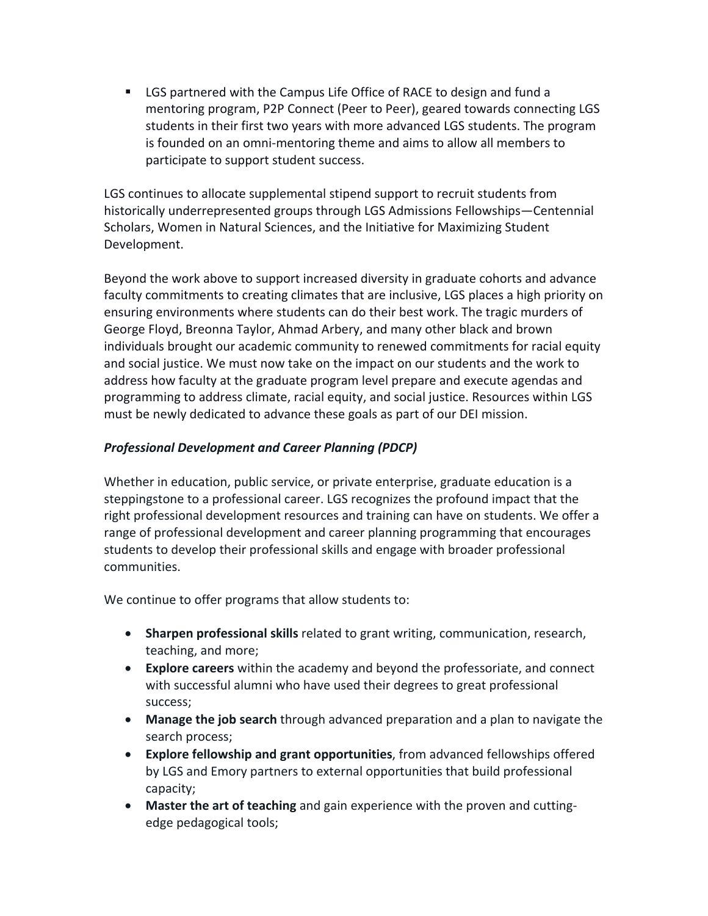§ LGS partnered with the Campus Life Office of RACE to design and fund a mentoring program, P2P Connect (Peer to Peer), geared towards connecting LGS students in their first two years with more advanced LGS students. The program is founded on an omni-mentoring theme and aims to allow all members to participate to support student success.

LGS continues to allocate supplemental stipend support to recruit students from historically underrepresented groups through LGS Admissions Fellowships—Centennial Scholars, Women in Natural Sciences, and the Initiative for Maximizing Student Development.

Beyond the work above to support increased diversity in graduate cohorts and advance faculty commitments to creating climates that are inclusive, LGS places a high priority on ensuring environments where students can do their best work. The tragic murders of George Floyd, Breonna Taylor, Ahmad Arbery, and many other black and brown individuals brought our academic community to renewed commitments for racial equity and social justice. We must now take on the impact on our students and the work to address how faculty at the graduate program level prepare and execute agendas and programming to address climate, racial equity, and social justice. Resources within LGS must be newly dedicated to advance these goals as part of our DEI mission.

# *Professional Development and Career Planning (PDCP)*

Whether in education, public service, or private enterprise, graduate education is a steppingstone to a professional career. LGS recognizes the profound impact that the right professional development resources and training can have on students. We offer a range of professional development and career planning programming that encourages students to develop their professional skills and engage with broader professional communities.

We continue to offer programs that allow students to:

- **Sharpen professional skills** related to grant writing, communication, research, teaching, and more;
- **Explore careers** within the academy and beyond the professoriate, and connect with successful alumni who have used their degrees to great professional success;
- **Manage the job search** through advanced preparation and a plan to navigate the search process;
- **Explore fellowship and grant opportunities**, from advanced fellowships offered by LGS and Emory partners to external opportunities that build professional capacity;
- **Master the art of teaching** and gain experience with the proven and cuttingedge pedagogical tools;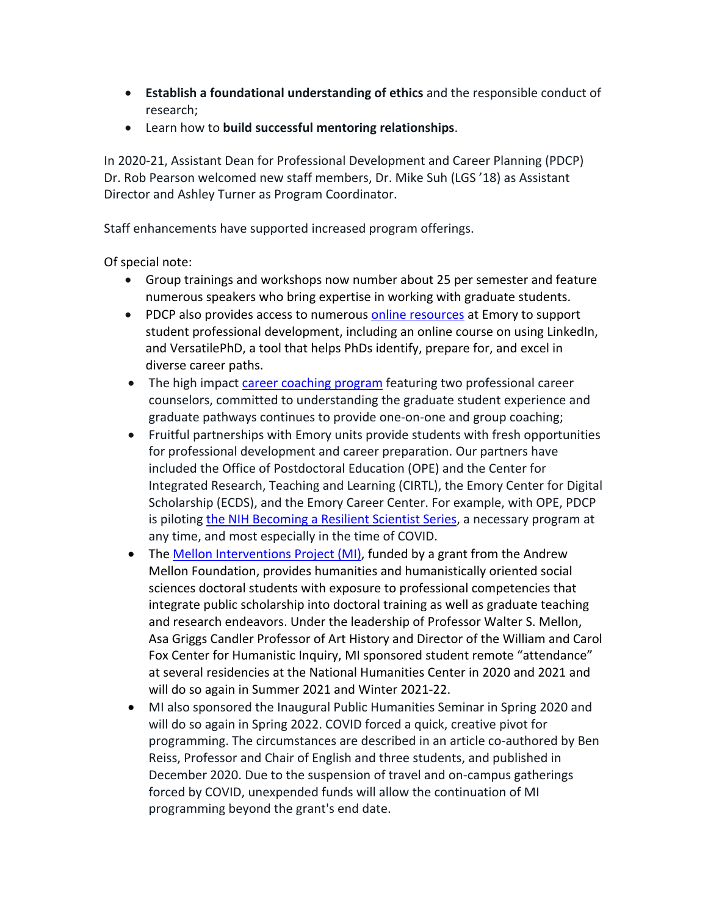- **Establish a foundational understanding of ethics** and the responsible conduct of research;
- Learn how to **build successful mentoring relationships**.

In 2020-21, Assistant Dean for Professional Development and Career Planning (PDCP) Dr. Rob Pearson welcomed new staff members, Dr. Mike Suh (LGS '18) as Assistant Director and Ashley Turner as Program Coordinator.

Staff enhancements have supported increased program offerings.

Of special note:

- Group trainings and workshops now number about 25 per semester and feature numerous speakers who bring expertise in working with graduate students.
- PDCP also provides access to numerous [online resources](https://gs.emory.edu/professional-development/sharpening-skills/online-resources.html) at Emory to support student professional development, including an online course on using LinkedIn, and VersatilePhD, a tool that helps PhDs identify, prepare for, and excel in diverse career paths.
- The high impact [career coaching program](https://gs.emory.edu/professional-development/job-search/career-coaching.html) featuring two professional career counselors, committed to understanding the graduate student experience and graduate pathways continues to provide one-on-one and group coaching;
- Fruitful partnerships with Emory units provide students with fresh opportunities for professional development and career preparation. Our partners have included the Office of Postdoctoral Education (OPE) and the Center for Integrated Research, Teaching and Learning (CIRTL), the Emory Center for Digital Scholarship (ECDS), and the Emory Career Center. For example, with OPE, PDCP is piloting [the NIH Becoming a Resilient Scientist Series,](https://www.training.nih.gov/nih_becoming_a_resilient_scientist_series) a necessary program at any time, and most especially in the time of COVID.
- The [Mellon Interventions Project \(MI\)](https://www.gs.emory.edu/professional-development/mellon-interventions/index.html), funded by a grant from the Andrew Mellon Foundation, provides humanities and humanistically oriented social sciences doctoral students with exposure to professional competencies that integrate public scholarship into doctoral training as well as graduate teaching and research endeavors. Under the leadership of Professor Walter S. Mellon, Asa Griggs Candler Professor of Art History and Director of the William and Carol Fox Center for Humanistic Inquiry, MI sponsored student remote "attendance" at several residencies at the National Humanities Center in 2020 and 2021 and will do so again in Summer 2021 and Winter 2021-22.
- MI also sponsored the Inaugural Public Humanities Seminar in Spring 2020 and will do so again in Spring 2022. COVID forced a quick, creative pivot for programming. The circumstances are described in an article co-authored by Ben Reiss, Professor and Chair of English and three students, and published in December 2020. Due to the suspension of travel and on-campus gatherings forced by COVID, unexpended funds will allow the continuation of MI programming beyond the grant's end date.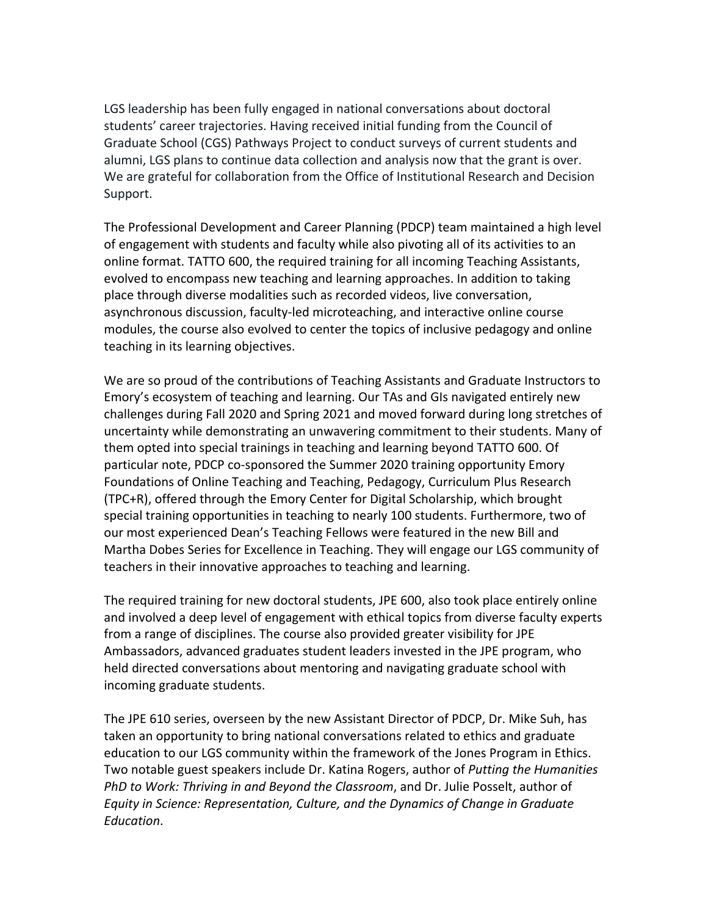LGS leadership has been fully engaged in national conversations about doctoral students' career trajectories. Having received initial funding from the Council of Graduate School (CGS) Pathways Project to conduct surveys of current students and alumni, LGS plans to continue data collection and analysis now that the grant is over. We are grateful for collaboration from the Office of Institutional Research and Decision Support.

The Professional Development and Career Planning (PDCP) team maintained a high level of engagement with students and faculty while also pivoting all of its activities to an online format. TATTO 600, the required training for all incoming Teaching Assistants, evolved to encompass new teaching and learning approaches. In addition to taking place through diverse modalities such as recorded videos, live conversation, asynchronous discussion, faculty-led microteaching, and interactive online course modules, the course also evolved to center the topics of inclusive pedagogy and online teaching in its learning objectives.

We are so proud of the contributions of Teaching Assistants and Graduate Instructors to Emory's ecosystem of teaching and learning. Our TAs and GIs navigated entirely new challenges during Fall 2020 and Spring 2021 and moved forward during long stretches of uncertainty while demonstrating an unwavering commitment to their students. Many of them opted into special trainings in teaching and learning beyond TATTO 600. Of particular note, PDCP co-sponsored the Summer 2020 training opportunity Emory Foundations of Online Teaching and Teaching, Pedagogy, Curriculum Plus Research (TPC+R), offered through the Emory Center for Digital Scholarship, which brought special training opportunities in teaching to nearly 100 students. Furthermore, two of our most experienced Dean's Teaching Fellows were featured in the new Bill and Martha Dobes Series for Excellence in Teaching. They will engage our LGS community of teachers in their innovative approaches to teaching and learning.

The required training for new doctoral students, JPE 600, also took place entirely online and involved a deep level of engagement with ethical topics from diverse faculty experts from a range of disciplines. The course also provided greater visibility for JPE Ambassadors, advanced graduates student leaders invested in the JPE program, who held directed conversations about mentoring and navigating graduate school with incoming graduate students.

The JPE 610 series, overseen by the new Assistant Director of PDCP, Dr. Mike Suh, has taken an opportunity to bring national conversations related to ethics and graduate education to our LGS community within the framework of the Jones Program in Ethics. Two notable guest speakers include Dr. Katina Rogers, author of *Putting the Humanities PhD to Work: Thriving in and Beyond the Classroom*, and Dr. Julie Posselt, author of *Equity in Science: Representation, Culture, and the Dynamics of Change in Graduate Education*.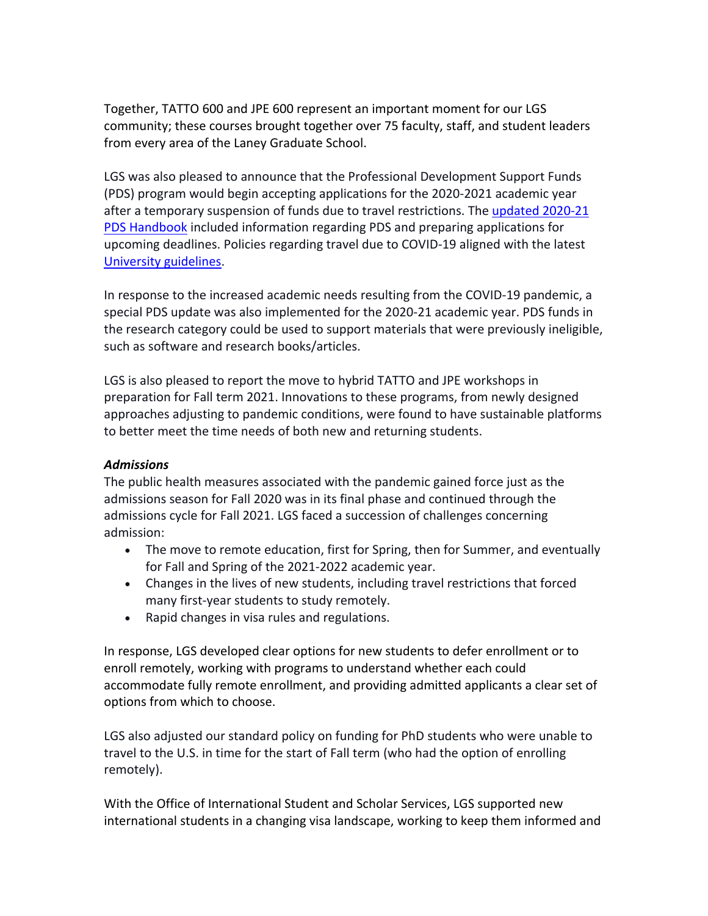Together, TATTO 600 and JPE 600 represent an important moment for our LGS community; these courses brought together over 75 faculty, staff, and student leaders from every area of the Laney Graduate School.

LGS was also pleased to announce that the Professional Development Support Funds (PDS) program would begin accepting applications for the 2020-2021 academic year after a temporary suspension of funds due to travel restrictions. The [updated 2020-21](https://www.gs.emory.edu/_includes/documents/sections/professional-development/pds/pds-handbook-ay20-21-final-1.1.pdf)  [PDS Handbook](https://www.gs.emory.edu/_includes/documents/sections/professional-development/pds/pds-handbook-ay20-21-final-1.1.pdf) included information regarding PDS and preparing applications for upcoming deadlines. Policies regarding travel due to COVID-19 aligned with the latest [University guidelines](https://gs.emory.edu/professional-development/pds/index.html).

In response to the increased academic needs resulting from the COVID-19 pandemic, a special PDS update was also implemented for the 2020-21 academic year. PDS funds in the research category could be used to support materials that were previously ineligible, such as software and research books/articles.

LGS is also pleased to report the move to hybrid TATTO and JPE workshops in preparation for Fall term 2021. Innovations to these programs, from newly designed approaches adjusting to pandemic conditions, were found to have sustainable platforms to better meet the time needs of both new and returning students.

### *Admissions*

The public health measures associated with the pandemic gained force just as the admissions season for Fall 2020 was in its final phase and continued through the admissions cycle for Fall 2021. LGS faced a succession of challenges concerning admission:

- The move to remote education, first for Spring, then for Summer, and eventually for Fall and Spring of the 2021-2022 academic year.
- Changes in the lives of new students, including travel restrictions that forced many first-year students to study remotely.
- Rapid changes in visa rules and regulations.

In response, LGS developed clear options for new students to defer enrollment or to enroll remotely, working with programs to understand whether each could accommodate fully remote enrollment, and providing admitted applicants a clear set of options from which to choose.

LGS also adjusted our standard policy on funding for PhD students who were unable to travel to the U.S. in time for the start of Fall term (who had the option of enrolling remotely).

With the Office of International Student and Scholar Services, LGS supported new international students in a changing visa landscape, working to keep them informed and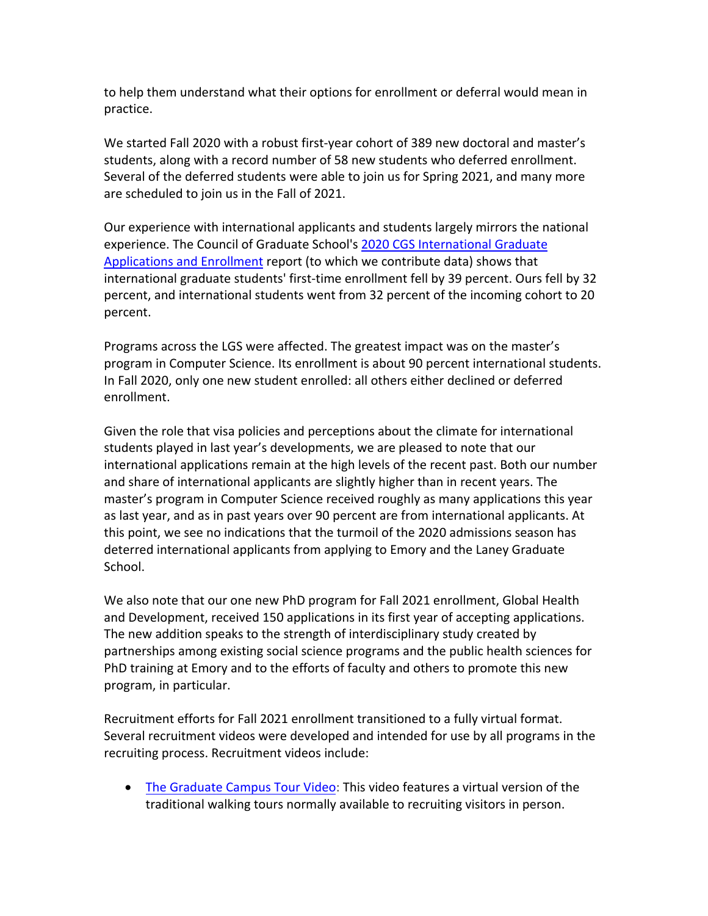to help them understand what their options for enrollment or deferral would mean in practice.

We started Fall 2020 with a robust first-year cohort of 389 new doctoral and master's students, along with a record number of 58 new students who deferred enrollment. Several of the deferred students were able to join us for Spring 2021, and many more are scheduled to join us in the Fall of 2021.

Our experience with international applicants and students largely mirrors the national experience. The Council of Graduate School's [2020 CGS International Graduate](https://cgsnet.org/sites/default/files/civicrm/persist/contribute/files/Final%20for%20the%20Public%20Release%20-%20Fall%202020%20Int_l%20Report%20_2021.02.17_.pdf)  [Applications and Enrollment](https://cgsnet.org/sites/default/files/civicrm/persist/contribute/files/Final%20for%20the%20Public%20Release%20-%20Fall%202020%20Int_l%20Report%20_2021.02.17_.pdf) report (to which we contribute data) shows that international graduate students' first-time enrollment fell by 39 percent. Ours fell by 32 percent, and international students went from 32 percent of the incoming cohort to 20 percent.

Programs across the LGS were affected. The greatest impact was on the master's program in Computer Science. Its enrollment is about 90 percent international students. In Fall 2020, only one new student enrolled: all others either declined or deferred enrollment.

Given the role that visa policies and perceptions about the climate for international students played in last year's developments, we are pleased to note that our international applications remain at the high levels of the recent past. Both our number and share of international applicants are slightly higher than in recent years. The master's program in Computer Science received roughly as many applications this year as last year, and as in past years over 90 percent are from international applicants. At this point, we see no indications that the turmoil of the 2020 admissions season has deterred international applicants from applying to Emory and the Laney Graduate School.

We also note that our one new PhD program for Fall 2021 enrollment, Global Health and Development, received 150 applications in its first year of accepting applications. The new addition speaks to the strength of interdisciplinary study created by partnerships among existing social science programs and the public health sciences for PhD training at Emory and to the efforts of faculty and others to promote this new program, in particular.

Recruitment efforts for Fall 2021 enrollment transitioned to a fully virtual format. Several recruitment videos were developed and intended for use by all programs in the recruiting process. Recruitment videos include:

• The [Graduate Campus Tour Video:](https://www.gs.emory.edu/about/lgs-video/video-lgs-tour.html) This video features a virtual version of the traditional walking tours normally available to recruiting visitors in person.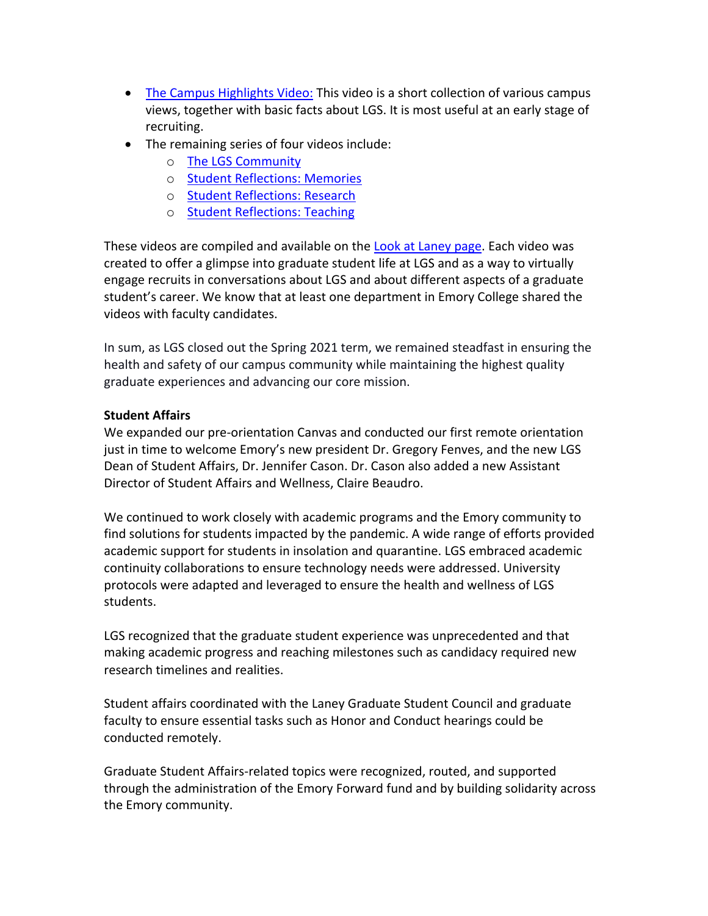- [The Campus Highlights Video:](https://www.gs.emory.edu/about/lgs-video/video-lgs-campus.html) This video is a short collection of various campus views, together with basic facts about LGS. It is most useful at an early stage of recruiting.
- The remaining series of four videos include:
	- o [The LGS Community](https://www.gs.emory.edu/about/lgs-video/video-lgs-community.html)
	- o [Student Reflections: Memories](https://www.gs.emory.edu/about/lgs-video/video-lgs-reflections-memories.html)
	- o [Student Reflections: Research](https://www.gs.emory.edu/about/lgs-video/video-lgs-reflections-research.html)
	- o [Student Reflections: Teaching](https://www.gs.emory.edu/about/lgs-video/video-lgs-reflections-ta.html)

These videos are compiled and available on the [Look at Laney page.](https://www.gs.emory.edu/about/videos.html) Each video was created to offer a glimpse into graduate student life at LGS and as a way to virtually engage recruits in conversations about LGS and about different aspects of a graduate student's career. We know that at least one department in Emory College shared the videos with faculty candidates.

In sum, as LGS closed out the Spring 2021 term, we remained steadfast in ensuring the health and safety of our campus community while maintaining the highest quality graduate experiences and advancing our core mission.

## **Student Affairs**

We expanded our pre-orientation Canvas and conducted our first remote orientation just in time to welcome Emory's new president Dr. Gregory Fenves, and the new LGS Dean of Student Affairs, Dr. Jennifer Cason. Dr. Cason also added a new Assistant Director of Student Affairs and Wellness, Claire Beaudro.

We continued to work closely with academic programs and the Emory community to find solutions for students impacted by the pandemic. A wide range of efforts provided academic support for students in insolation and quarantine. LGS embraced academic continuity collaborations to ensure technology needs were addressed. University protocols were adapted and leveraged to ensure the health and wellness of LGS students.

LGS recognized that the graduate student experience was unprecedented and that making academic progress and reaching milestones such as candidacy required new research timelines and realities.

Student affairs coordinated with the Laney Graduate Student Council and graduate faculty to ensure essential tasks such as Honor and Conduct hearings could be conducted remotely.

Graduate Student Affairs-related topics were recognized, routed, and supported through the administration of the Emory Forward fund and by building solidarity across the Emory community.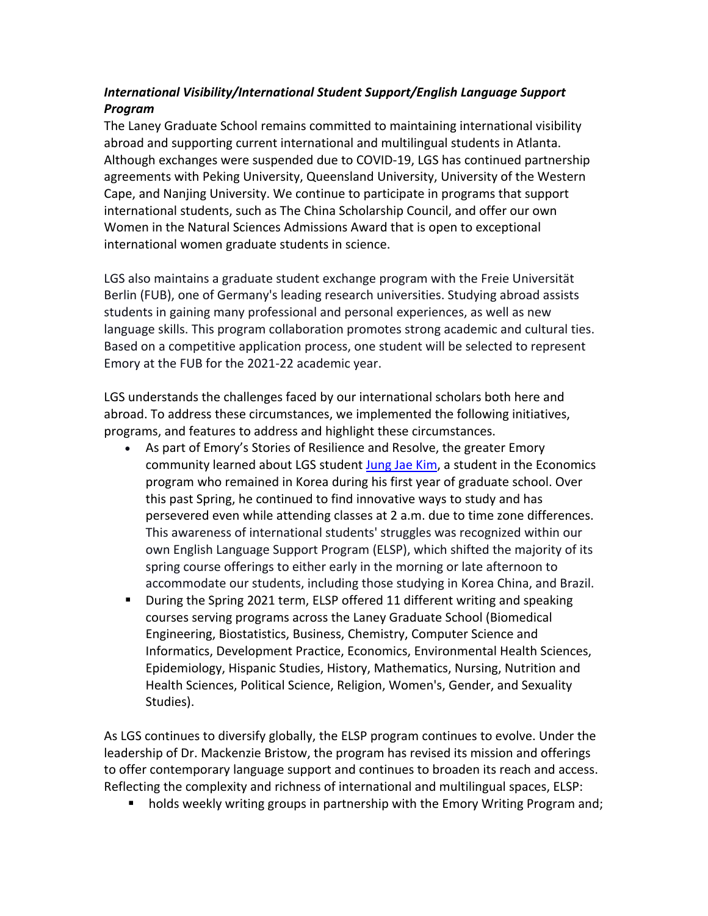# *International Visibility/International Student Support/English Language Support Program*

The Laney Graduate School remains committed to maintaining international visibility abroad and supporting current international and multilingual students in Atlanta. Although exchanges were suspended due to COVID-19, LGS has continued partnership agreements with Peking University, Queensland University, University of the Western Cape, and Nanjing University. We continue to participate in programs that support international students, such as The China Scholarship Council, and offer our own Women in the Natural Sciences Admissions Award that is open to exceptional international women graduate students in science.

LGS also maintains a graduate student exchange program with the Freie Universität Berlin (FUB), one of Germany's leading research universities. Studying abroad assists students in gaining many professional and personal experiences, as well as new language skills. This program collaboration promotes strong academic and cultural ties. Based on a competitive application process, one student will be selected to represent Emory at the FUB for the 2021-22 academic year.

LGS understands the challenges faced by our international scholars both here and abroad. To address these circumstances, we implemented the following initiatives, programs, and features to address and highlight these circumstances.

- As part of Emory's Stories of Resilience and Resolve, the greater Emory community learned about LGS student [Jung Jae Kim,](https://player.vimeo.com/video/493882314?autoplay=1) a student in the Economics program who remained in Korea during his first year of graduate school. Over this past Spring, he continued to find innovative ways to study and has persevered even while attending classes at 2 a.m. due to time zone differences. This awareness of international students' struggles was recognized within our own English Language Support Program (ELSP), which shifted the majority of its spring course offerings to either early in the morning or late afternoon to accommodate our students, including those studying in Korea China, and Brazil.
- During the Spring 2021 term, ELSP offered 11 different writing and speaking courses serving programs across the Laney Graduate School (Biomedical Engineering, Biostatistics, Business, Chemistry, Computer Science and Informatics, Development Practice, Economics, Environmental Health Sciences, Epidemiology, Hispanic Studies, History, Mathematics, Nursing, Nutrition and Health Sciences, Political Science, Religion, Women's, Gender, and Sexuality Studies).

As LGS continues to diversify globally, the ELSP program continues to evolve. Under the leadership of Dr. Mackenzie Bristow, the program has revised its mission and offerings to offer contemporary language support and continues to broaden its reach and access. Reflecting the complexity and richness of international and multilingual spaces, ELSP:

■ holds weekly writing groups in partnership with the Emory Writing Program and;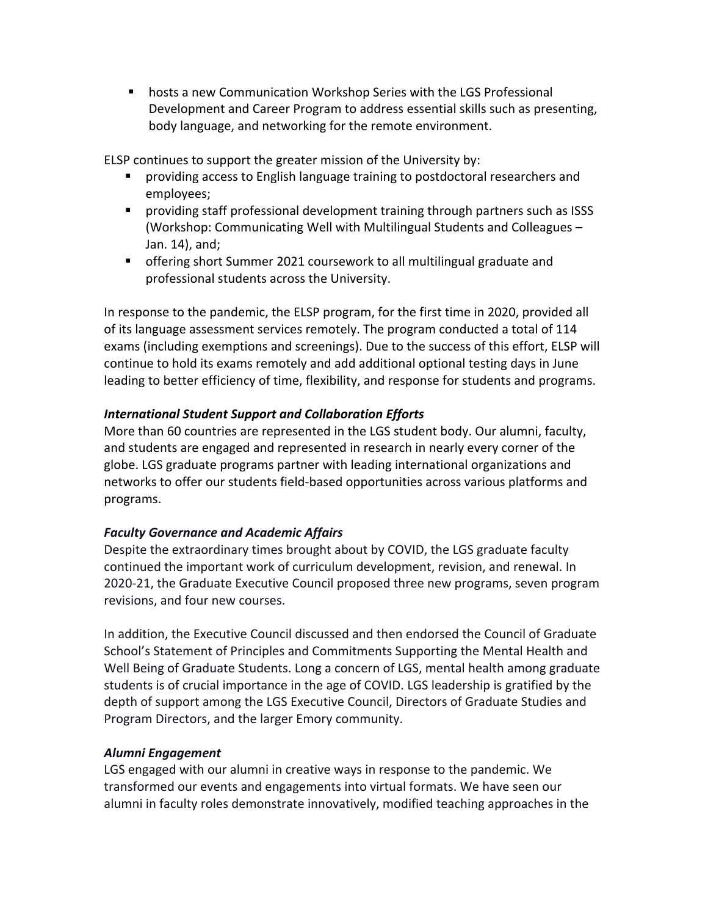■ hosts a new Communication Workshop Series with the LGS Professional Development and Career Program to address essential skills such as presenting, body language, and networking for the remote environment.

ELSP continues to support the greater mission of the University by:

- § providing access to English language training to postdoctoral researchers and employees;
- § providing staff professional development training through partners such as ISSS (Workshop: Communicating Well with Multilingual Students and Colleagues – Jan. 14), and;
- offering short Summer 2021 coursework to all multilingual graduate and professional students across the University.

In response to the pandemic, the ELSP program, for the first time in 2020, provided all of its language assessment services remotely. The program conducted a total of 114 exams (including exemptions and screenings). Due to the success of this effort, ELSP will continue to hold its exams remotely and add additional optional testing days in June leading to better efficiency of time, flexibility, and response for students and programs.

### *International Student Support and Collaboration Efforts*

More than 60 countries are represented in the LGS student body. Our alumni, faculty, and students are engaged and represented in research in nearly every corner of the globe. LGS graduate programs partner with leading international organizations and networks to offer our students field-based opportunities across various platforms and programs.

## *Faculty Governance and Academic Affairs*

Despite the extraordinary times brought about by COVID, the LGS graduate faculty continued the important work of curriculum development, revision, and renewal. In 2020-21, the Graduate Executive Council proposed three new programs, seven program revisions, and four new courses.

In addition, the Executive Council discussed and then endorsed the Council of Graduate School's Statement of Principles and Commitments Supporting the Mental Health and Well Being of Graduate Students. Long a concern of LGS, mental health among graduate students is of crucial importance in the age of COVID. LGS leadership is gratified by the depth of support among the LGS Executive Council, Directors of Graduate Studies and Program Directors, and the larger Emory community.

#### *Alumni Engagement*

LGS engaged with our alumni in creative ways in response to the pandemic. We transformed our events and engagements into virtual formats. We have seen our alumni in faculty roles demonstrate innovatively, modified teaching approaches in the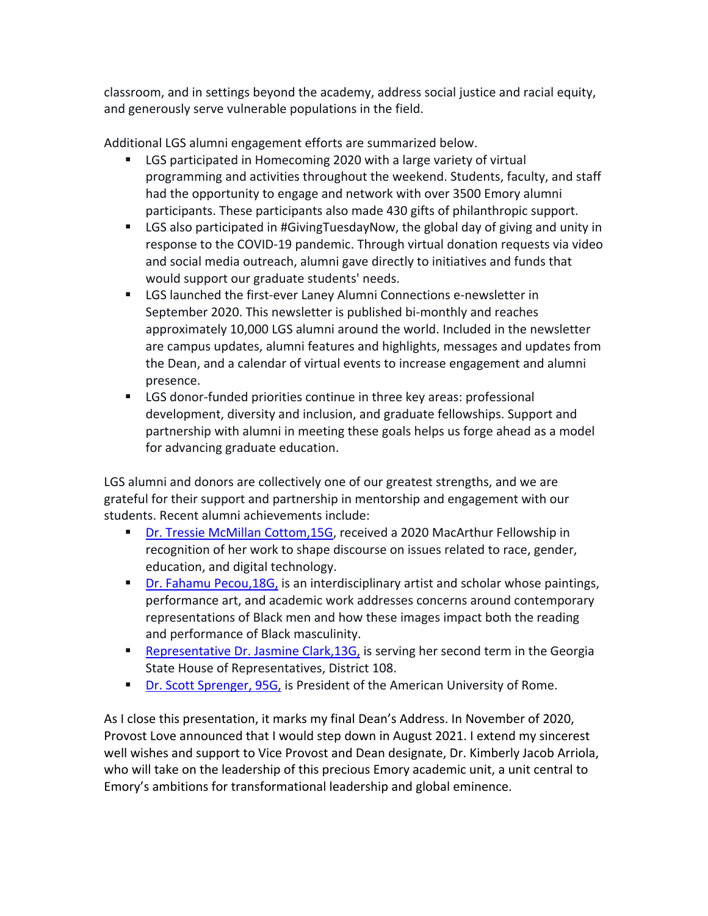classroom, and in settings beyond the academy, address social justice and racial equity, and generously serve vulnerable populations in the field.

Additional LGS alumni engagement efforts are summarized below.

- LGS participated in Homecoming 2020 with a large variety of virtual programming and activities throughout the weekend. Students, faculty, and staff had the opportunity to engage and network with over 3500 Emory alumni participants. These participants also made 430 gifts of philanthropic support.
- LGS also participated in #GivingTuesdayNow, the global day of giving and unity in response to the COVID-19 pandemic. Through virtual donation requests via video and social media outreach, alumni gave directly to initiatives and funds that would support our graduate students' needs.
- LGS launched the first-ever Laney Alumni Connections e-newsletter in September 2020. This newsletter is published bi-monthly and reaches approximately 10,000 LGS alumni around the world. Included in the newsletter are campus updates, alumni features and highlights, messages and updates from the Dean, and a calendar of virtual events to increase engagement and alumni presence.
- LGS donor-funded priorities continue in three key areas: professional development, diversity and inclusion, and graduate fellowships. Support and partnership with alumni in meeting these goals helps us forge ahead as a model for advancing graduate education.

LGS alumni and donors are collectively one of our greatest strengths, and we are grateful for their support and partnership in mentorship and engagement with our students. Recent alumni achievements include:

- [Dr. Tressie McMillan Cottom,15G](https://news.emory.edu/stories/2020/10/er_macarthur_fellowship_cottom/campus.html), received a 2020 MacArthur Fellowship in recognition of her work to shape discourse on issues related to race, gender, education, and digital technology.
- **Dr. Fahamu Pecou, 18G, is an interdisciplinary artist and scholar whose paintings,** performance art, and academic work addresses concerns around contemporary representations of Black men and how these images impact both the reading and performance of Black masculinity.
- [Representative Dr. Jasmine Clark,13G,](https://www.jasmineclarkforgeorgia.com) is serving her second term in the Georgia State House of Representatives, District 108.
- [Dr. Scott Sprenger, 95G,](https://gs.emory.edu/happening/alumnispotlight/scottsprenger.html) is President of the American University of Rome.

As I close this presentation, it marks my final Dean's Address. In November of 2020, Provost Love announced that I would step down in August 2021. I extend my sincerest well wishes and support to Vice Provost and Dean designate, Dr. Kimberly Jacob Arriola, who will take on the leadership of this precious Emory academic unit, a unit central to Emory's ambitions for transformational leadership and global eminence.